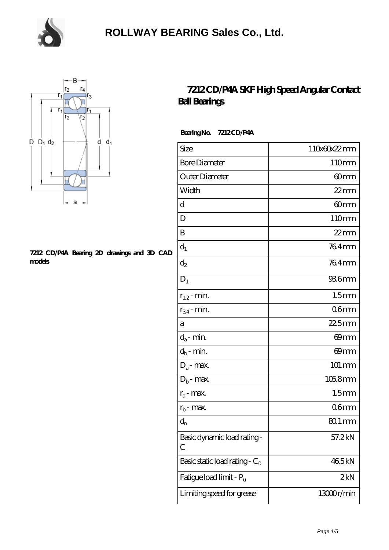



#### **[7212 CD/P4A Bearing 2D drawings and 3D CAD](https://m.chooseyourcufflinks.com/pic-938510.html) [models](https://m.chooseyourcufflinks.com/pic-938510.html)**

#### **[7212 CD/P4A SKF High Speed Angular Contact](https://m.chooseyourcufflinks.com/skf-bearing/7212-cd-p4a.html) [Ball Bearings](https://m.chooseyourcufflinks.com/skf-bearing/7212-cd-p4a.html)**

 **Bearing No. 7212 CD/P4A**

| Size                             | 110x60x22mm          |
|----------------------------------|----------------------|
| <b>Bore Diameter</b>             | 110mm                |
| Outer Diameter                   | 60mm                 |
| Width                            | $22$ mm              |
| d                                | 60 <sub>mm</sub>     |
| D                                | 110mm                |
| B                                | $22$ mm              |
| $d_1$                            | 764mm                |
| $\mathrm{d}_2$                   | 764mm                |
| $D_1$                            | 936mm                |
| $r_{1,2}$ - min.                 | 1.5 <sub>mm</sub>    |
| $r_{34}$ - min.                  | 06 <sub>mm</sub>     |
| a                                | $225$ mm             |
| $d_a$ - min.                     | 69mm                 |
| $d_b$ - min.                     | 69 <sub>mm</sub>     |
| $D_a$ - max.                     | $101 \, \mathrm{mm}$ |
| $D_b$ - max.                     | 105.8mm              |
| $r_a$ - max.                     | 1.5 <sub>mm</sub>    |
| $r_{b}$ - max.                   | 06 <sub>mm</sub>     |
| $d_{n}$                          | $801 \,\mathrm{mm}$  |
| Basic dynamic load rating-<br>С  | 57.2kN               |
| Basic static load rating - $C_0$ | 465kN                |
| Fatigue load limit - Pu          | 2kN                  |
| Limiting speed for grease        | 13000r/min           |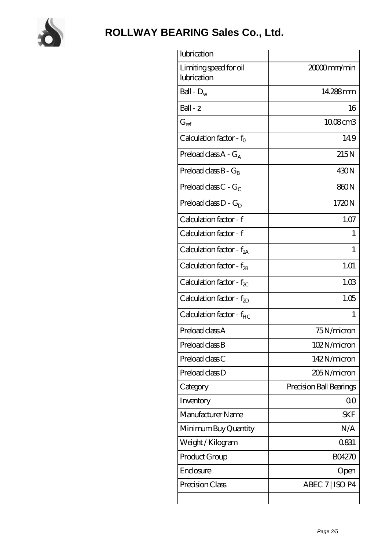

| lubrication                           |                         |
|---------------------------------------|-------------------------|
| Limiting speed for oil<br>lubrication | 20000mm/min             |
| Ball - $D_w$                          | 14.288mm                |
| Ball - z                              | 16                      |
| $G_{ref}$                             | 1008cm3                 |
| Calculation factor - $f_0$            | 149                     |
| Preload class $A - G_A$               | 215N                    |
| Preload class $B - G_R$               | 430N                    |
| Preload class $C - G_C$               | 860N                    |
| Preload class $D - G_D$               | 1720N                   |
| Calculation factor - f                | 1.07                    |
| Calculation factor - f                | 1                       |
| Calculation factor - $f_{2A}$         | 1                       |
| Calculation factor - $f_{2B}$         | 1.01                    |
| Calculation factor - $f_{\chi}$       | 1.03                    |
| Calculation factor - $f_{2D}$         | 1.05                    |
| Calculation factor - f <sub>HC</sub>  | 1                       |
| Preload class A                       | 75N/micron              |
| Preload class B                       | 102N/micron             |
| Preload class C                       | 142N/micron             |
| Preload class D                       | 205N/micron             |
| Category                              | Precision Ball Bearings |
| Inventory                             | 0 <sup>0</sup>          |
| Manufacturer Name                     | <b>SKF</b>              |
| Minimum Buy Quantity                  | N/A                     |
| Weight/Kilogram                       | 0831                    |
| Product Group                         | <b>BO4270</b>           |
| Enclosure                             | Open                    |
| Precision Class                       | ABEC 7   ISO P4         |
|                                       |                         |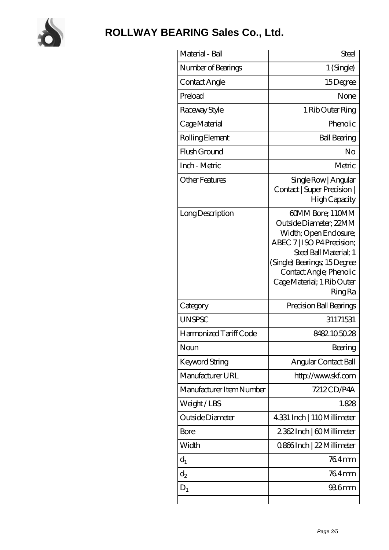

| Material - Ball          | Steel                                                                                                                                                                                                                                  |
|--------------------------|----------------------------------------------------------------------------------------------------------------------------------------------------------------------------------------------------------------------------------------|
| Number of Bearings       | $1$ (Single)                                                                                                                                                                                                                           |
| Contact Angle            | 15Degree                                                                                                                                                                                                                               |
| Preload                  | None                                                                                                                                                                                                                                   |
| Raceway Style            | 1 Rib Outer Ring                                                                                                                                                                                                                       |
| Cage Material            | Phenolic                                                                                                                                                                                                                               |
| Rolling Element          | <b>Ball Bearing</b>                                                                                                                                                                                                                    |
| Flush Ground             | No                                                                                                                                                                                                                                     |
| Inch - Metric            | Metric                                                                                                                                                                                                                                 |
| <b>Other Features</b>    | Single Row   Angular<br>Contact   Super Precision  <br>High Capacity                                                                                                                                                                   |
| Long Description         | 60MM Bore; 110MM<br>Outside Diameter; 22MM<br>Width; Open Enclosure;<br>ABEC 7   ISO P4 Precision;<br>Steel Ball Material; 1<br>(Single) Bearings, 15Degree<br>Contact Angle; Phenolic<br>Cage Material; 1 Rib Outer<br><b>Ring Ra</b> |
| Category                 | Precision Ball Bearings                                                                                                                                                                                                                |
| <b>UNSPSC</b>            | 31171531                                                                                                                                                                                                                               |
| Harmonized Tariff Code   | 8482.105028                                                                                                                                                                                                                            |
| Noun                     | Bearing                                                                                                                                                                                                                                |
| <b>Keyword String</b>    | Angular Contact Ball                                                                                                                                                                                                                   |
| Manufacturer URL         | http://www.skf.com                                                                                                                                                                                                                     |
| Manufacturer Item Number | 7212CD/P4A                                                                                                                                                                                                                             |
| Weight/LBS               | 1.828                                                                                                                                                                                                                                  |
| Outside Diameter         | 4.331 Inch   110Millimeter                                                                                                                                                                                                             |
| <b>Bore</b>              | 2362Inch   60Millimeter                                                                                                                                                                                                                |
| Width                    | 0.866Inch   22 Millimeter                                                                                                                                                                                                              |
| $d_1$                    | 764mm                                                                                                                                                                                                                                  |
| $d_2$                    | 764mm                                                                                                                                                                                                                                  |
| $D_1$                    | 936mm                                                                                                                                                                                                                                  |
|                          |                                                                                                                                                                                                                                        |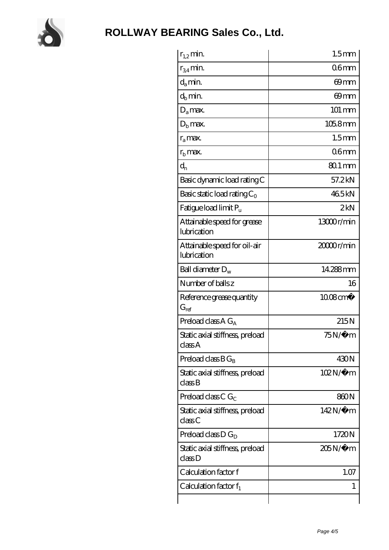

| $r_{1,2}$ min.                              | 1.5 <sub>mm</sub>     |
|---------------------------------------------|-----------------------|
| $r_{34}$ min.                               | 06 <sub>mm</sub>      |
| $d_a$ min.                                  | 69mm                  |
| $d_h$ min.                                  | 69mm                  |
| $D_a$ max.                                  | 101 mm                |
| $D_{\rm b}$ max.                            | 105.8mm               |
| $r_a$ max.                                  | 1.5 <sub>mm</sub>     |
| $r_{\rm b}$ max.                            | 06 <sub>mm</sub>      |
| $d_{n}$                                     | $801 \,\mathrm{mm}$   |
| Basic dynamic load rating C                 | 57.2kN                |
| Basic static load rating $C_0$              | 465kN                 |
| Fatigue load limit $P_{\rm u}$              | 2kN                   |
| Attainable speed for grease<br>lubrication  | 13000r/min            |
| Attainable speed for oil-air<br>lubrication | 2000 <sub>r/min</sub> |
| Ball diameter $D_w$                         | 14.288mm              |
| Number of balls z                           | 16                    |
|                                             |                       |
| Reference grease quantity<br>$G_{ref}$      | 1008cm <sup>3</sup>   |
| Preload class A $G_A$                       | 215N                  |
| Static axial stiffness, preload<br>classA   | $75N/\mu$ m           |
| Preload class $BG_B$                        | 430N                  |
| Static axial stiffness, preload<br>classB   | $102N/\mu$ m          |
| Preload class C $G_C$                       | 860N                  |
| Static axial stiffness, preload<br>classC   | 142N/μ m              |
| Preload class $D G_D$                       | 1720N                 |
| Static axial stiffness, preload<br>classD   | 205N/µ m              |
| Calculation factor f                        | 1.07                  |
| Calculation factor $f_1$                    | 1                     |